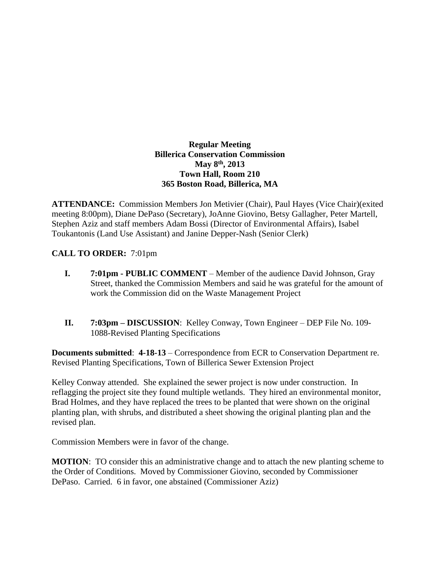### **Regular Meeting Billerica Conservation Commission May 8th , 2013 Town Hall, Room 210 365 Boston Road, Billerica, MA**

**ATTENDANCE:** Commission Members Jon Metivier (Chair), Paul Hayes (Vice Chair)(exited meeting 8:00pm), Diane DePaso (Secretary), JoAnne Giovino, Betsy Gallagher, Peter Martell, Stephen Aziz and staff members Adam Bossi (Director of Environmental Affairs), Isabel Toukantonis (Land Use Assistant) and Janine Depper-Nash (Senior Clerk)

# **CALL TO ORDER:** 7:01pm

- **I. 7:01pm PUBLIC COMMENT** Member of the audience David Johnson, Gray Street, thanked the Commission Members and said he was grateful for the amount of work the Commission did on the Waste Management Project
- **II. 7:03pm – DISCUSSION**: Kelley Conway, Town Engineer DEP File No. 109- 1088-Revised Planting Specifications

**Documents submitted**: **4-18-13** – Correspondence from ECR to Conservation Department re. Revised Planting Specifications, Town of Billerica Sewer Extension Project

Kelley Conway attended. She explained the sewer project is now under construction. In reflagging the project site they found multiple wetlands. They hired an environmental monitor, Brad Holmes, and they have replaced the trees to be planted that were shown on the original planting plan, with shrubs, and distributed a sheet showing the original planting plan and the revised plan.

Commission Members were in favor of the change.

**MOTION:** TO consider this an administrative change and to attach the new planting scheme to the Order of Conditions. Moved by Commissioner Giovino, seconded by Commissioner DePaso. Carried. 6 in favor, one abstained (Commissioner Aziz)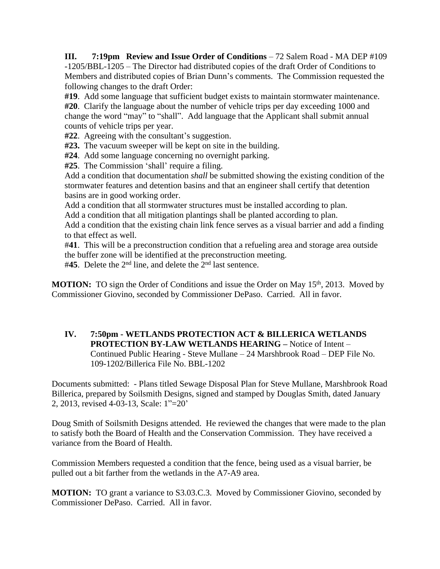**III.** 7:19pm Review and Issue Order of Conditions – 72 Salem Road - MA DEP #109 -1205/BBL-1205 – The Director had distributed copies of the draft Order of Conditions to Members and distributed copies of Brian Dunn's comments. The Commission requested the following changes to the draft Order:

**#19**. Add some language that sufficient budget exists to maintain stormwater maintenance. **#20**. Clarify the language about the number of vehicle trips per day exceeding 1000 and change the word "may" to "shall". Add language that the Applicant shall submit annual counts of vehicle trips per year.

**#22**. Agreeing with the consultant's suggestion.

**#23.** The vacuum sweeper will be kept on site in the building.

**#24**. Add some language concerning no overnight parking.

**#25**. The Commission 'shall' require a filing.

Add a condition that documentation *shall* be submitted showing the existing condition of the stormwater features and detention basins and that an engineer shall certify that detention basins are in good working order.

Add a condition that all stormwater structures must be installed according to plan.

Add a condition that all mitigation plantings shall be planted according to plan.

Add a condition that the existing chain link fence serves as a visual barrier and add a finding to that effect as well.

#**41**. This will be a preconstruction condition that a refueling area and storage area outside the buffer zone will be identified at the preconstruction meeting.

#45. Delete the 2<sup>nd</sup> line, and delete the 2<sup>nd</sup> last sentence.

**MOTION:** TO sign the Order of Conditions and issue the Order on May 15<sup>th</sup>, 2013. Moved by Commissioner Giovino, seconded by Commissioner DePaso. Carried. All in favor.

## **IV. 7:50pm - WETLANDS PROTECTION ACT & BILLERICA WETLANDS PROTECTION BY-LAW WETLANDS HEARING –** Notice of Intent – Continued Public Hearing - Steve Mullane – 24 Marshbrook Road – DEP File No. 109-1202/Billerica File No. BBL-1202

Documents submitted: - Plans titled Sewage Disposal Plan for Steve Mullane, Marshbrook Road Billerica, prepared by Soilsmith Designs, signed and stamped by Douglas Smith, dated January 2, 2013, revised 4-03-13, Scale: 1"=20'

Doug Smith of Soilsmith Designs attended. He reviewed the changes that were made to the plan to satisfy both the Board of Health and the Conservation Commission. They have received a variance from the Board of Health.

Commission Members requested a condition that the fence, being used as a visual barrier, be pulled out a bit farther from the wetlands in the A7-A9 area.

**MOTION:** TO grant a variance to S3.03.C.3. Moved by Commissioner Giovino, seconded by Commissioner DePaso. Carried. All in favor.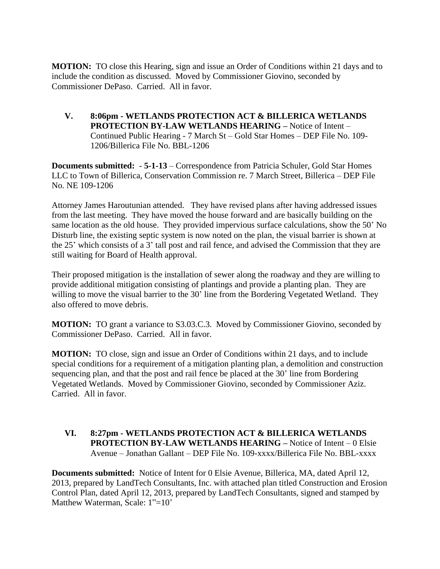**MOTION:** TO close this Hearing, sign and issue an Order of Conditions within 21 days and to include the condition as discussed. Moved by Commissioner Giovino, seconded by Commissioner DePaso. Carried. All in favor.

**V. 8:06pm - WETLANDS PROTECTION ACT & BILLERICA WETLANDS PROTECTION BY-LAW WETLANDS HEARING –** Notice of Intent – Continued Public Hearing - 7 March St – Gold Star Homes – DEP File No. 109- 1206/Billerica File No. BBL-1206

**Documents submitted:** - **5-1-13** – Correspondence from Patricia Schuler, Gold Star Homes LLC to Town of Billerica, Conservation Commission re. 7 March Street, Billerica – DEP File No. NE 109-1206

Attorney James Haroutunian attended. They have revised plans after having addressed issues from the last meeting. They have moved the house forward and are basically building on the same location as the old house. They provided impervious surface calculations, show the 50' No Disturb line, the existing septic system is now noted on the plan, the visual barrier is shown at the 25' which consists of a 3' tall post and rail fence, and advised the Commission that they are still waiting for Board of Health approval.

Their proposed mitigation is the installation of sewer along the roadway and they are willing to provide additional mitigation consisting of plantings and provide a planting plan. They are willing to move the visual barrier to the 30' line from the Bordering Vegetated Wetland. They also offered to move debris.

**MOTION:** TO grant a variance to S3.03.C.3. Moved by Commissioner Giovino, seconded by Commissioner DePaso. Carried. All in favor.

**MOTION:** TO close, sign and issue an Order of Conditions within 21 days, and to include special conditions for a requirement of a mitigation planting plan, a demolition and construction sequencing plan, and that the post and rail fence be placed at the 30' line from Bordering Vegetated Wetlands. Moved by Commissioner Giovino, seconded by Commissioner Aziz. Carried. All in favor.

### **VI. 8:27pm - WETLANDS PROTECTION ACT & BILLERICA WETLANDS PROTECTION BY-LAW WETLANDS HEARING –** Notice of Intent – 0 Elsie Avenue – Jonathan Gallant – DEP File No. 109-xxxx/Billerica File No. BBL-xxxx

**Documents submitted:** Notice of Intent for 0 Elsie Avenue, Billerica, MA, dated April 12, 2013, prepared by LandTech Consultants, Inc. with attached plan titled Construction and Erosion Control Plan, dated April 12, 2013, prepared by LandTech Consultants, signed and stamped by Matthew Waterman, Scale: 1"=10"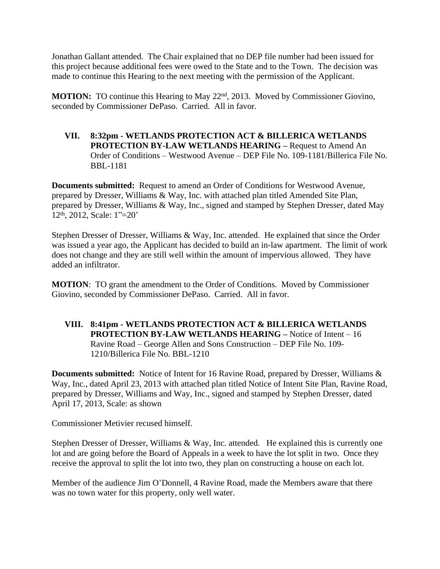Jonathan Gallant attended. The Chair explained that no DEP file number had been issued for this project because additional fees were owed to the State and to the Town. The decision was made to continue this Hearing to the next meeting with the permission of the Applicant.

**MOTION:** TO continue this Hearing to May 22<sup>nd</sup>, 2013. Moved by Commissioner Giovino, seconded by Commissioner DePaso. Carried. All in favor.

**VII. 8:32pm - WETLANDS PROTECTION ACT & BILLERICA WETLANDS PROTECTION BY-LAW WETLANDS HEARING –** Request to Amend An Order of Conditions – Westwood Avenue – DEP File No. 109-1181/Billerica File No. BBL-1181

**Documents submitted:** Request to amend an Order of Conditions for Westwood Avenue, prepared by Dresser, Williams & Way, Inc. with attached plan titled Amended Site Plan, prepared by Dresser, Williams & Way, Inc., signed and stamped by Stephen Dresser, dated May 12th, 2012, Scale: 1"=20'

Stephen Dresser of Dresser, Williams & Way, Inc. attended. He explained that since the Order was issued a year ago, the Applicant has decided to build an in-law apartment. The limit of work does not change and they are still well within the amount of impervious allowed. They have added an infiltrator.

**MOTION**: TO grant the amendment to the Order of Conditions. Moved by Commissioner Giovino, seconded by Commissioner DePaso. Carried. All in favor.

**VIII. 8:41pm - WETLANDS PROTECTION ACT & BILLERICA WETLANDS PROTECTION BY-LAW WETLANDS HEARING –** Notice of Intent – 16 Ravine Road – George Allen and Sons Construction – DEP File No. 109- 1210/Billerica File No. BBL-1210

**Documents submitted:** Notice of Intent for 16 Ravine Road, prepared by Dresser, Williams & Way, Inc., dated April 23, 2013 with attached plan titled Notice of Intent Site Plan, Ravine Road, prepared by Dresser, Williams and Way, Inc., signed and stamped by Stephen Dresser, dated April 17, 2013, Scale: as shown

Commissioner Metivier recused himself.

Stephen Dresser of Dresser, Williams & Way, Inc. attended. He explained this is currently one lot and are going before the Board of Appeals in a week to have the lot split in two. Once they receive the approval to split the lot into two, they plan on constructing a house on each lot.

Member of the audience Jim O'Donnell, 4 Ravine Road, made the Members aware that there was no town water for this property, only well water.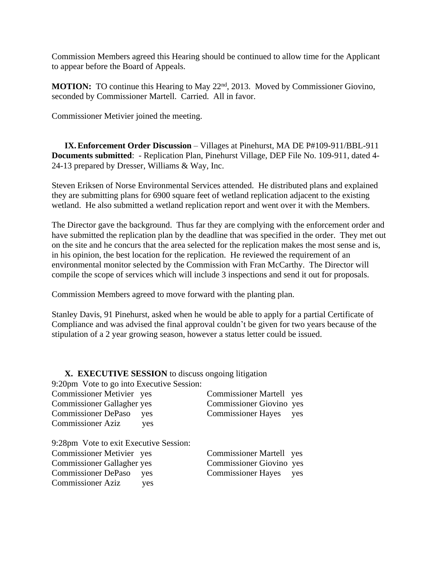Commission Members agreed this Hearing should be continued to allow time for the Applicant to appear before the Board of Appeals.

**MOTION:** TO continue this Hearing to May 22<sup>nd</sup>, 2013. Moved by Commissioner Giovino, seconded by Commissioner Martell. Carried. All in favor.

Commissioner Metivier joined the meeting.

**IX.Enforcement Order Discussion** – Villages at Pinehurst, MA DE P#109-911/BBL-911 **Documents submitted**: - Replication Plan, Pinehurst Village, DEP File No. 109-911, dated 4- 24-13 prepared by Dresser, Williams & Way, Inc.

Steven Eriksen of Norse Environmental Services attended. He distributed plans and explained they are submitting plans for 6900 square feet of wetland replication adjacent to the existing wetland. He also submitted a wetland replication report and went over it with the Members.

The Director gave the background. Thus far they are complying with the enforcement order and have submitted the replication plan by the deadline that was specified in the order. They met out on the site and he concurs that the area selected for the replication makes the most sense and is, in his opinion, the best location for the replication. He reviewed the requirement of an environmental monitor selected by the Commission with Fran McCarthy. The Director will compile the scope of services which will include 3 inspections and send it out for proposals.

Commission Members agreed to move forward with the planting plan.

Stanley Davis, 91 Pinehurst, asked when he would be able to apply for a partial Certificate of Compliance and was advised the final approval couldn't be given for two years because of the stipulation of a 2 year growing season, however a status letter could be issued.

### **X. EXECUTIVE SESSION** to discuss ongoing litigation

9:20pm Vote to go into Executive Session:

| Commissioner Metivier yes         | <b>Commissioner Martell</b> yes |  |
|-----------------------------------|---------------------------------|--|
| <b>Commissioner Gallagher yes</b> | Commissioner Giovino yes        |  |
| Commissioner DePaso yes           | Commissioner Hayes yes          |  |
| <b>Commissioner Aziz</b><br>ves   |                                 |  |

9:28pm Vote to exit Executive Session: Commissioner Metivier yes Commissioner Martell yes Commissioner Gallagher yes Commissioner Giovino yes Commissioner DePaso yes Commissioner Hayes yes Commissioner Aziz yes